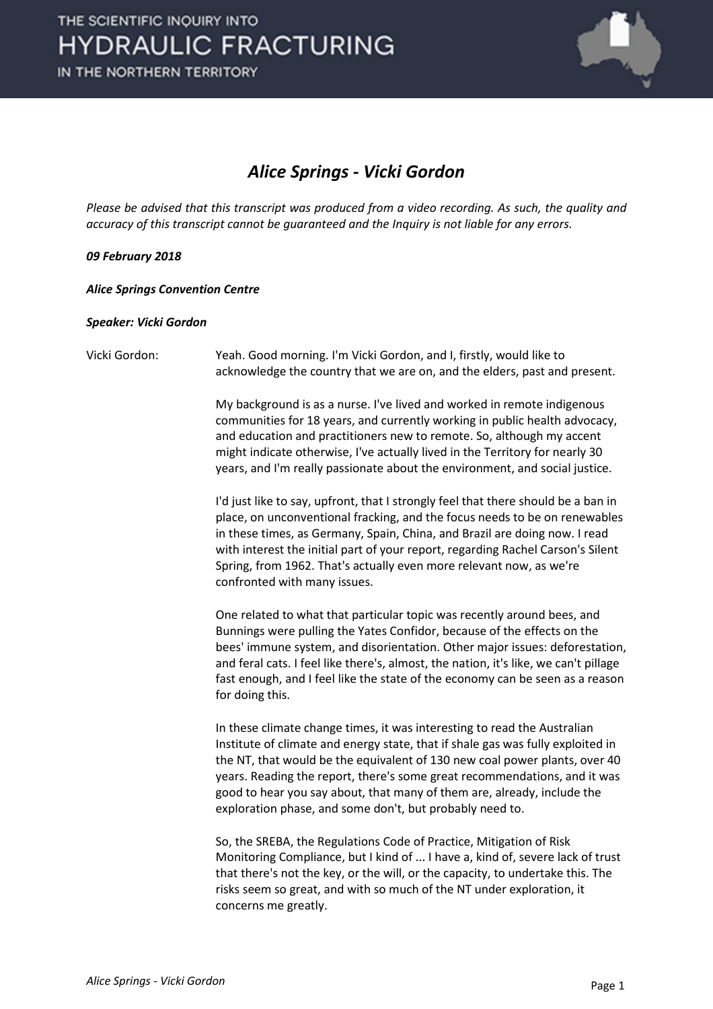

### *Alice Springs - Vicki Gordon*

*Please be advised that this transcript was produced from a video recording. As such, the quality and accuracy of this transcript cannot be guaranteed and the Inquiry is not liable for any errors.*

### *09 February 2018*

*Alice Springs Convention Centre*

#### *Speaker: Vicki Gordon*

```
Vicki Gordon: Yeah. Good morning. I'm Vicki Gordon, and I, firstly, would like to 
          acknowledge the country that we are on, and the elders, past and present.
```
My background is as a nurse. I've lived and worked in remote indigenous communities for 18 years, and currently working in public health advocacy, and education and practitioners new to remote. So, although my accent might indicate otherwise, I've actually lived in the Territory for nearly 30 years, and I'm really passionate about the environment, and social justice.

I'd just like to say, upfront, that I strongly feel that there should be a ban in place, on unconventional fracking, and the focus needs to be on renewables in these times, as Germany, Spain, China, and Brazil are doing now. I read with interest the initial part of your report, regarding Rachel Carson's Silent Spring, from 1962. That's actually even more relevant now, as we're confronted with many issues.

One related to what that particular topic was recently around bees, and Bunnings were pulling the Yates Confidor, because of the effects on the bees' immune system, and disorientation. Other major issues: deforestation, and feral cats. I feel like there's, almost, the nation, it's like, we can't pillage fast enough, and I feel like the state of the economy can be seen as a reason for doing this.

In these climate change times, it was interesting to read the Australian Institute of climate and energy state, that if shale gas was fully exploited in the NT, that would be the equivalent of 130 new coal power plants, over 40 years. Reading the report, there's some great recommendations, and it was good to hear you say about, that many of them are, already, include the exploration phase, and some don't, but probably need to.

So, the SREBA, the Regulations Code of Practice, Mitigation of Risk Monitoring Compliance, but I kind of ... I have a, kind of, severe lack of trust that there's not the key, or the will, or the capacity, to undertake this. The risks seem so great, and with so much of the NT under exploration, it concerns me greatly.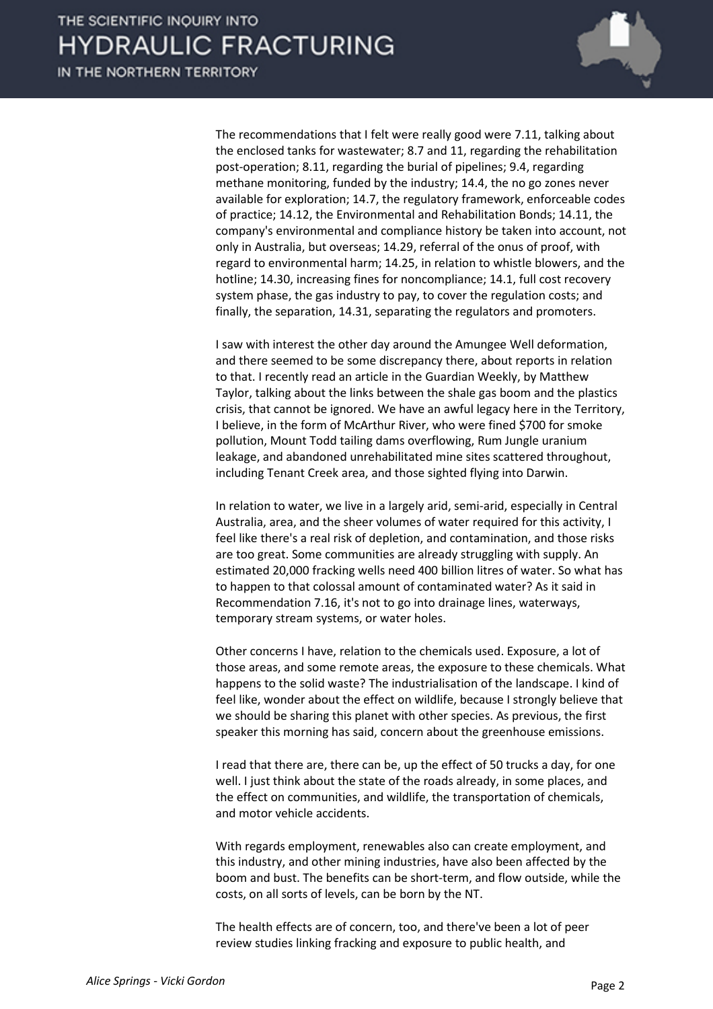IN THE NORTHERN TERRITORY



The recommendations that I felt were really good were 7.11, talking about the enclosed tanks for wastewater; 8.7 and 11, regarding the rehabilitation post-operation; 8.11, regarding the burial of pipelines; 9.4, regarding methane monitoring, funded by the industry; 14.4, the no go zones never available for exploration; 14.7, the regulatory framework, enforceable codes of practice; 14.12, the Environmental and Rehabilitation Bonds; 14.11, the company's environmental and compliance history be taken into account, not only in Australia, but overseas; 14.29, referral of the onus of proof, with regard to environmental harm; 14.25, in relation to whistle blowers, and the hotline; 14.30, increasing fines for noncompliance; 14.1, full cost recovery system phase, the gas industry to pay, to cover the regulation costs; and finally, the separation, 14.31, separating the regulators and promoters.

I saw with interest the other day around the Amungee Well deformation, and there seemed to be some discrepancy there, about reports in relation to that. I recently read an article in the Guardian Weekly, by Matthew Taylor, talking about the links between the shale gas boom and the plastics crisis, that cannot be ignored. We have an awful legacy here in the Territory, I believe, in the form of McArthur River, who were fined \$700 for smoke pollution, Mount Todd tailing dams overflowing, Rum Jungle uranium leakage, and abandoned unrehabilitated mine sites scattered throughout, including Tenant Creek area, and those sighted flying into Darwin.

In relation to water, we live in a largely arid, semi-arid, especially in Central Australia, area, and the sheer volumes of water required for this activity, I feel like there's a real risk of depletion, and contamination, and those risks are too great. Some communities are already struggling with supply. An estimated 20,000 fracking wells need 400 billion litres of water. So what has to happen to that colossal amount of contaminated water? As it said in Recommendation 7.16, it's not to go into drainage lines, waterways, temporary stream systems, or water holes.

Other concerns I have, relation to the chemicals used. Exposure, a lot of those areas, and some remote areas, the exposure to these chemicals. What happens to the solid waste? The industrialisation of the landscape. I kind of feel like, wonder about the effect on wildlife, because I strongly believe that we should be sharing this planet with other species. As previous, the first speaker this morning has said, concern about the greenhouse emissions.

I read that there are, there can be, up the effect of 50 trucks a day, for one well. I just think about the state of the roads already, in some places, and the effect on communities, and wildlife, the transportation of chemicals, and motor vehicle accidents.

With regards employment, renewables also can create employment, and this industry, and other mining industries, have also been affected by the boom and bust. The benefits can be short-term, and flow outside, while the costs, on all sorts of levels, can be born by the NT.

The health effects are of concern, too, and there've been a lot of peer review studies linking fracking and exposure to public health, and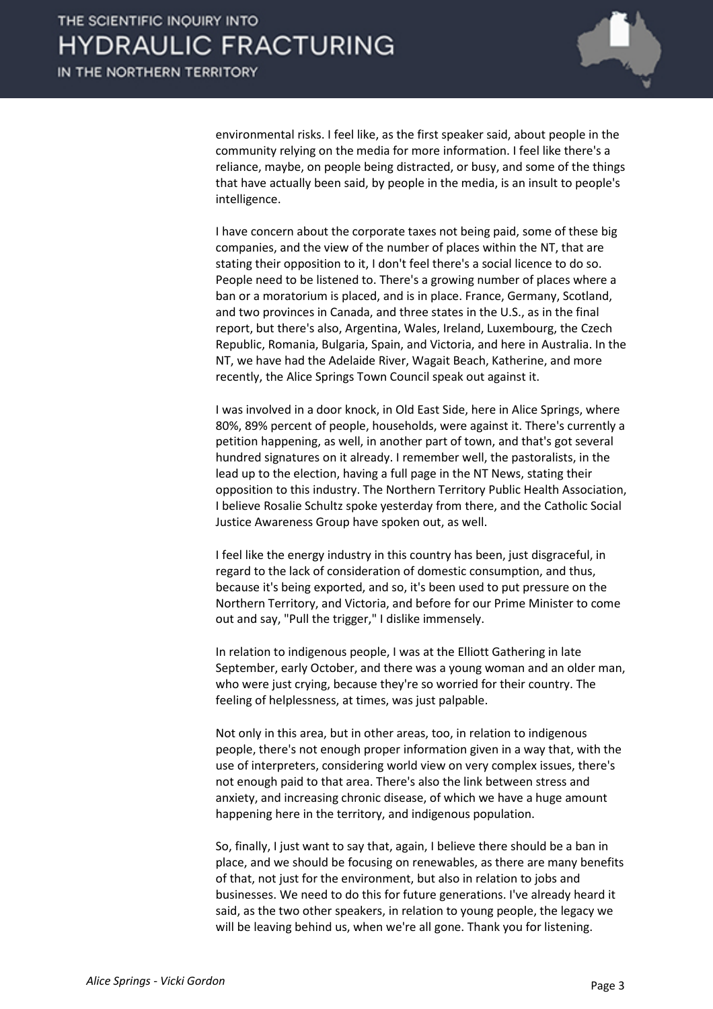

environmental risks. I feel like, as the first speaker said, about people in the community relying on the media for more information. I feel like there's a reliance, maybe, on people being distracted, or busy, and some of the things that have actually been said, by people in the media, is an insult to people's intelligence.

I have concern about the corporate taxes not being paid, some of these big companies, and the view of the number of places within the NT, that are stating their opposition to it, I don't feel there's a social licence to do so. People need to be listened to. There's a growing number of places where a ban or a moratorium is placed, and is in place. France, Germany, Scotland, and two provinces in Canada, and three states in the U.S., as in the final report, but there's also, Argentina, Wales, Ireland, Luxembourg, the Czech Republic, Romania, Bulgaria, Spain, and Victoria, and here in Australia. In the NT, we have had the Adelaide River, Wagait Beach, Katherine, and more recently, the Alice Springs Town Council speak out against it.

I was involved in a door knock, in Old East Side, here in Alice Springs, where 80%, 89% percent of people, households, were against it. There's currently a petition happening, as well, in another part of town, and that's got several hundred signatures on it already. I remember well, the pastoralists, in the lead up to the election, having a full page in the NT News, stating their opposition to this industry. The Northern Territory Public Health Association, I believe Rosalie Schultz spoke yesterday from there, and the Catholic Social Justice Awareness Group have spoken out, as well.

I feel like the energy industry in this country has been, just disgraceful, in regard to the lack of consideration of domestic consumption, and thus, because it's being exported, and so, it's been used to put pressure on the Northern Territory, and Victoria, and before for our Prime Minister to come out and say, "Pull the trigger," I dislike immensely.

In relation to indigenous people, I was at the Elliott Gathering in late September, early October, and there was a young woman and an older man, who were just crying, because they're so worried for their country. The feeling of helplessness, at times, was just palpable.

Not only in this area, but in other areas, too, in relation to indigenous people, there's not enough proper information given in a way that, with the use of interpreters, considering world view on very complex issues, there's not enough paid to that area. There's also the link between stress and anxiety, and increasing chronic disease, of which we have a huge amount happening here in the territory, and indigenous population.

So, finally, I just want to say that, again, I believe there should be a ban in place, and we should be focusing on renewables, as there are many benefits of that, not just for the environment, but also in relation to jobs and businesses. We need to do this for future generations. I've already heard it said, as the two other speakers, in relation to young people, the legacy we will be leaving behind us, when we're all gone. Thank you for listening.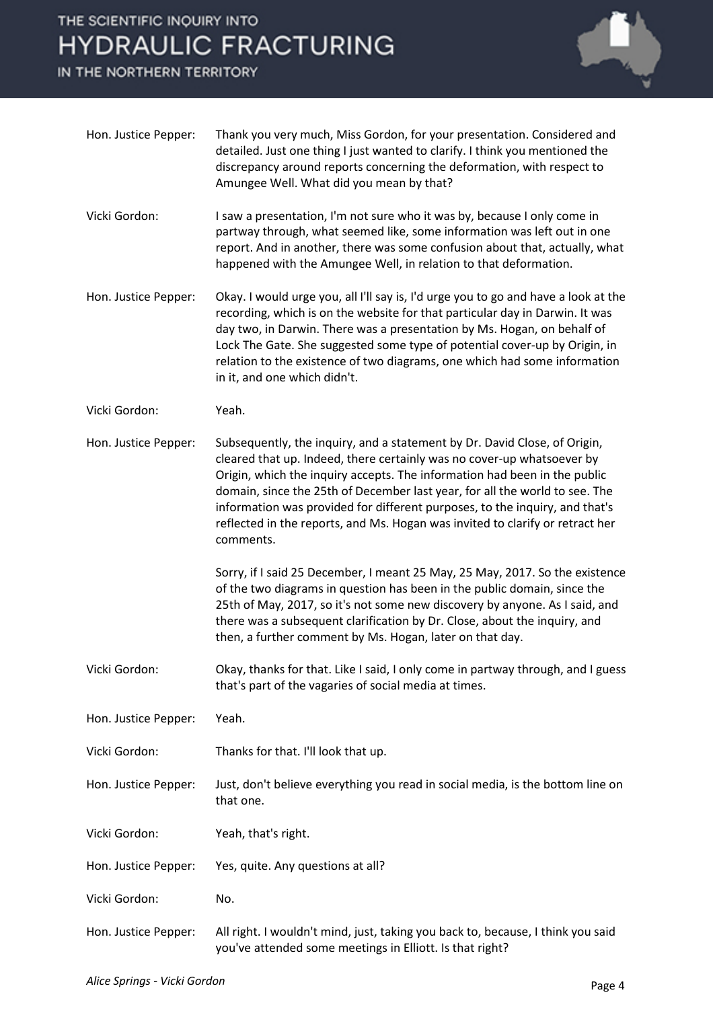## THE SCIENTIFIC INQUIRY INTO **HYDRAULIC FRACTURING**

IN THE NORTHERN TERRITORY



| Hon. Justice Pepper: | Thank you very much, Miss Gordon, for your presentation. Considered and<br>detailed. Just one thing I just wanted to clarify. I think you mentioned the<br>discrepancy around reports concerning the deformation, with respect to<br>Amungee Well. What did you mean by that?                                                                                                                                                                                                                |
|----------------------|----------------------------------------------------------------------------------------------------------------------------------------------------------------------------------------------------------------------------------------------------------------------------------------------------------------------------------------------------------------------------------------------------------------------------------------------------------------------------------------------|
| Vicki Gordon:        | I saw a presentation, I'm not sure who it was by, because I only come in<br>partway through, what seemed like, some information was left out in one<br>report. And in another, there was some confusion about that, actually, what<br>happened with the Amungee Well, in relation to that deformation.                                                                                                                                                                                       |
| Hon. Justice Pepper: | Okay. I would urge you, all I'll say is, I'd urge you to go and have a look at the<br>recording, which is on the website for that particular day in Darwin. It was<br>day two, in Darwin. There was a presentation by Ms. Hogan, on behalf of<br>Lock The Gate. She suggested some type of potential cover-up by Origin, in<br>relation to the existence of two diagrams, one which had some information<br>in it, and one which didn't.                                                     |
| Vicki Gordon:        | Yeah.                                                                                                                                                                                                                                                                                                                                                                                                                                                                                        |
| Hon. Justice Pepper: | Subsequently, the inquiry, and a statement by Dr. David Close, of Origin,<br>cleared that up. Indeed, there certainly was no cover-up whatsoever by<br>Origin, which the inquiry accepts. The information had been in the public<br>domain, since the 25th of December last year, for all the world to see. The<br>information was provided for different purposes, to the inquiry, and that's<br>reflected in the reports, and Ms. Hogan was invited to clarify or retract her<br>comments. |
|                      | Sorry, if I said 25 December, I meant 25 May, 25 May, 2017. So the existence<br>of the two diagrams in question has been in the public domain, since the<br>25th of May, 2017, so it's not some new discovery by anyone. As I said, and<br>there was a subsequent clarification by Dr. Close, about the inquiry, and<br>then, a further comment by Ms. Hogan, later on that day.                                                                                                             |
| Vicki Gordon:        | Okay, thanks for that. Like I said, I only come in partway through, and I guess<br>that's part of the vagaries of social media at times.                                                                                                                                                                                                                                                                                                                                                     |
| Hon. Justice Pepper: | Yeah.                                                                                                                                                                                                                                                                                                                                                                                                                                                                                        |
| Vicki Gordon:        | Thanks for that. I'll look that up.                                                                                                                                                                                                                                                                                                                                                                                                                                                          |
| Hon. Justice Pepper: | Just, don't believe everything you read in social media, is the bottom line on<br>that one.                                                                                                                                                                                                                                                                                                                                                                                                  |
| Vicki Gordon:        | Yeah, that's right.                                                                                                                                                                                                                                                                                                                                                                                                                                                                          |
| Hon. Justice Pepper: | Yes, quite. Any questions at all?                                                                                                                                                                                                                                                                                                                                                                                                                                                            |
| Vicki Gordon:        | No.                                                                                                                                                                                                                                                                                                                                                                                                                                                                                          |
| Hon. Justice Pepper: | All right. I wouldn't mind, just, taking you back to, because, I think you said                                                                                                                                                                                                                                                                                                                                                                                                              |

you've attended some meetings in Elliott. Is that right?